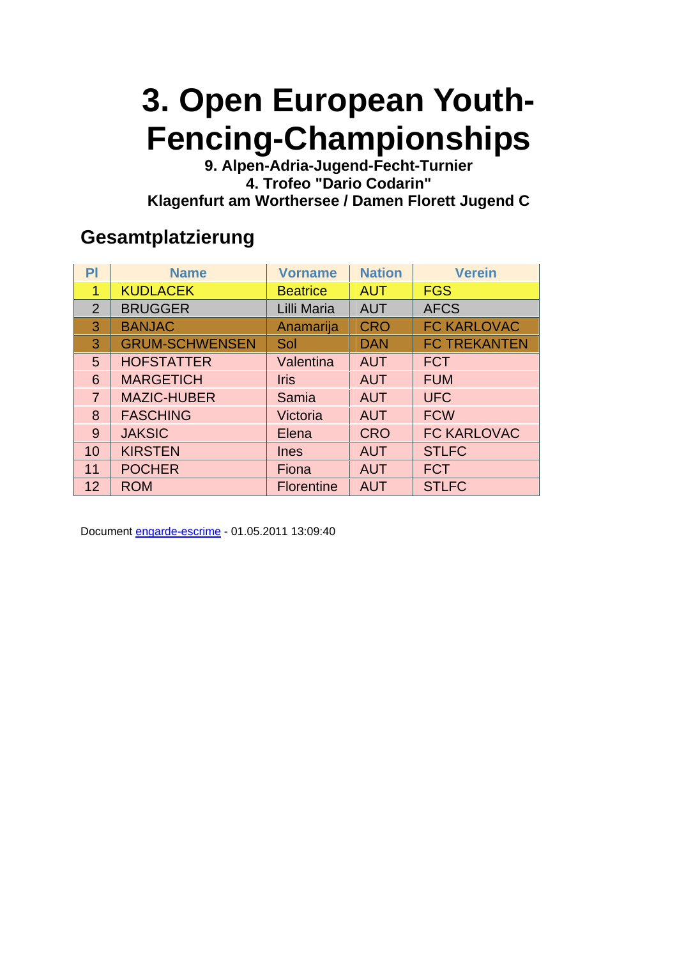**9. Alpen-Adria-Jugend-Fecht-Turnier 4. Trofeo "Dario Codarin" Klagenfurt am Worthersee / Damen Florett Jugend C** 

#### **Gesamtplatzierung**

| P              | <b>Name</b>           | <b>Vorname</b>    | <b>Nation</b> | <b>Verein</b>       |
|----------------|-----------------------|-------------------|---------------|---------------------|
| 1              | <b>KUDLACEK</b>       | <b>Beatrice</b>   | <b>AUT</b>    | <b>FGS</b>          |
| $\overline{2}$ | <b>BRUGGER</b>        | Lilli Maria       | <b>AUT</b>    | <b>AFCS</b>         |
| 3              | <b>BANJAC</b>         | Anamarija         | <b>CRO</b>    | <b>FC KARLOVAC</b>  |
| 3              | <b>GRUM-SCHWENSEN</b> | Sol               | <b>DAN</b>    | <b>FC TREKANTEN</b> |
| 5 <sup>5</sup> | <b>HOFSTATTER</b>     | Valentina         | <b>AUT</b>    | <b>FCT</b>          |
| 6              | <b>MARGETICH</b>      | <b>Iris</b>       | <b>AUT</b>    | <b>FUM</b>          |
| $\overline{7}$ | <b>MAZIC-HUBER</b>    | Samia             | <b>AUT</b>    | <b>UFC</b>          |
| 8              | <b>FASCHING</b>       | Victoria          | <b>AUT</b>    | <b>FCW</b>          |
| 9              | <b>JAKSIC</b>         | Elena             | <b>CRO</b>    | <b>FC KARLOVAC</b>  |
| 10             | <b>KIRSTEN</b>        | <b>Ines</b>       | <b>AUT</b>    | <b>STLFC</b>        |
| 11             | <b>POCHER</b>         | Fiona             | <b>AUT</b>    | <b>FCT</b>          |
| 12             | <b>ROM</b>            | <b>Florentine</b> | <b>AUT</b>    | <b>STLFC</b>        |

Document engarde-escrime - 01.05.2011 13:09:40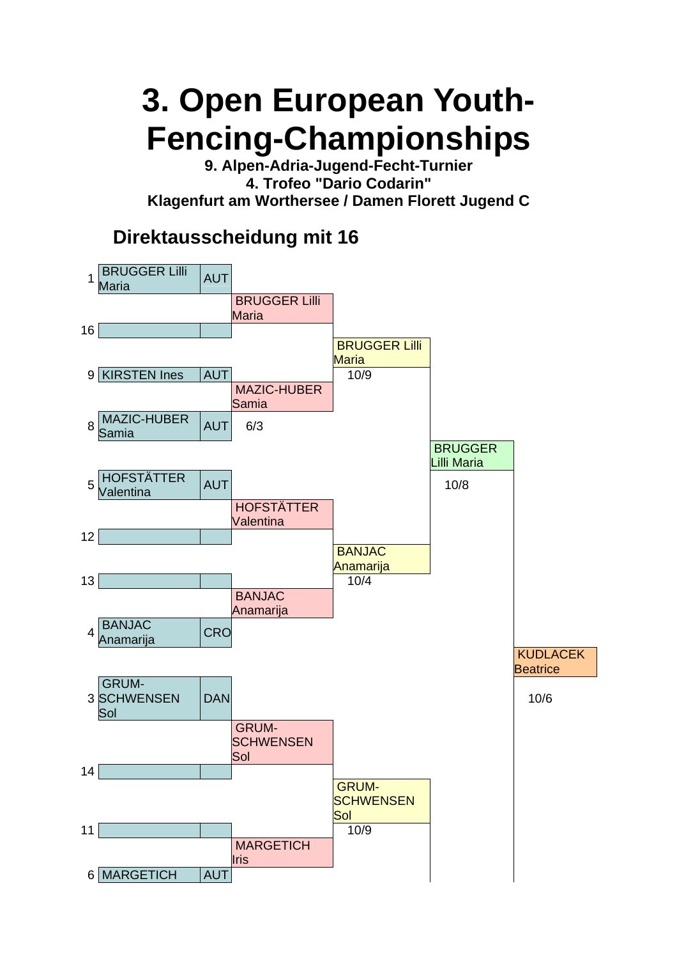**9. Alpen-Adria-Jugend-Fecht-Turnier 4. Trofeo "Dario Codarin" Klagenfurt am Worthersee / Damen Florett Jugend C** 

#### **Direktausscheidung mit 16**

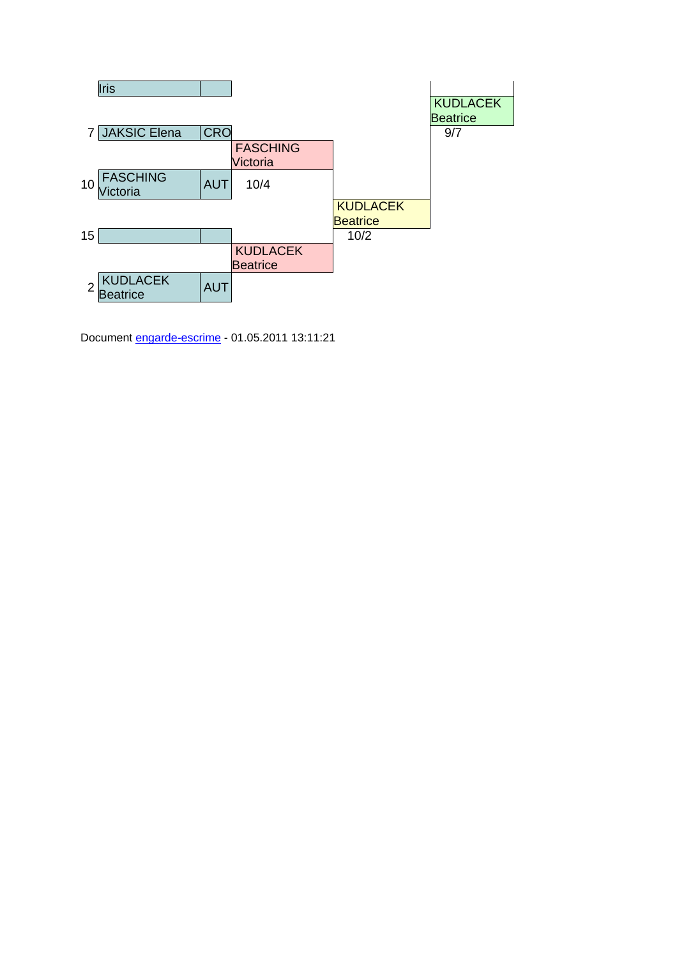

Document engarde-escrime - 01.05.2011 13:11:21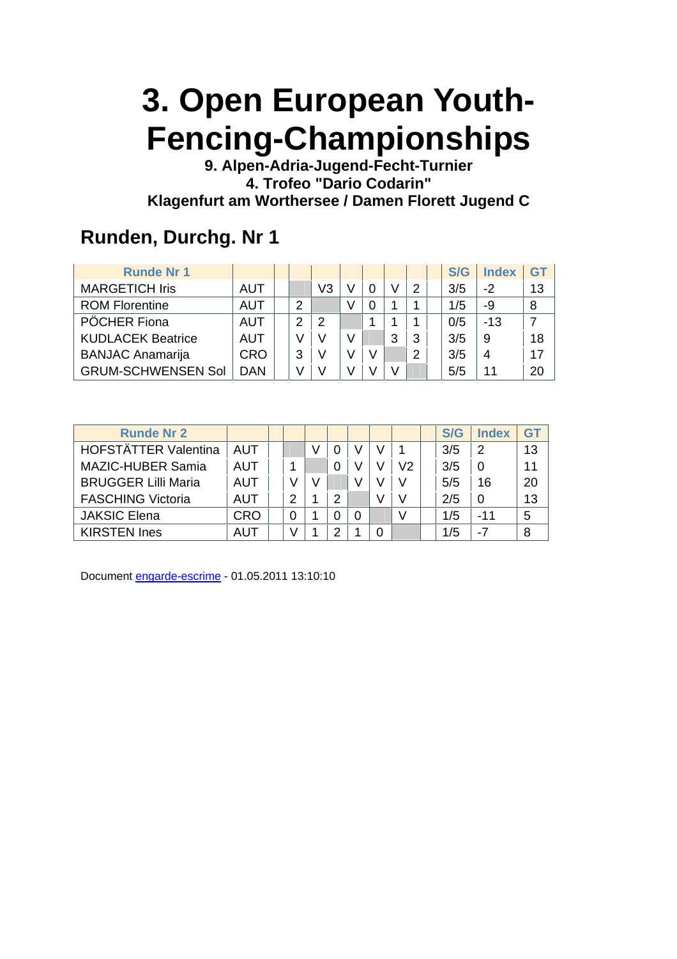**9. Alpen-Adria-Jugend-Fecht-Turnier 4. Trofeo "Dario Codarin" Klagenfurt am Worthersee / Damen Florett Jugend C** 

#### **Runden, Durchg. Nr 1**

| <b>Runde Nr 1</b>         |            |   |    |   |   |   | S/G | <b>Index</b> | GT |
|---------------------------|------------|---|----|---|---|---|-----|--------------|----|
| <b>MARGETICH Iris</b>     | AUT        |   | V3 |   |   | 2 | 3/5 | $-2$         | 13 |
| <b>ROM Florentine</b>     | AUT        | 2 |    |   |   |   | 1/5 | -9           | 8  |
| PÖCHER Fiona              | AUT        | 2 | 2  |   |   |   | 0/5 | $-13$        |    |
| <b>KUDLACEK Beatrice</b>  | <b>AUT</b> |   |    |   | 3 | 3 | 3/5 | 9            | 18 |
| <b>BANJAC Anamarija</b>   | <b>CRO</b> | 3 | V  | V |   | 2 | 3/5 | 4            | 17 |
| <b>GRUM-SCHWENSEN Sol</b> | <b>DAN</b> |   |    |   |   |   | 5/5 | 11           | 20 |

| <b>Runde Nr 2</b>           |            |   |   |   |  |    | S/G | <b>Index</b> | GT |
|-----------------------------|------------|---|---|---|--|----|-----|--------------|----|
| <b>HOFSTÄTTER Valentina</b> | <b>AUT</b> |   |   |   |  |    | 3/5 | 2            | 13 |
| <b>MAZIC-HUBER Samia</b>    | AUT        |   |   |   |  | V2 | 3/5 |              | 11 |
| <b>BRUGGER Lilli Maria</b>  | AUT        | V | V |   |  | V  | 5/5 | 16           | 20 |
| <b>FASCHING Victoria</b>    | AUT        | 2 |   | っ |  |    | 2/5 | $\Omega$     | 13 |
| <b>JAKSIC Elena</b>         | <b>CRO</b> | 0 |   |   |  |    | 1/5 | $-11$        |    |
| <b>KIRSTEN Ines</b>         | AUT        | V |   |   |  |    | 1/5 | -7           |    |

Document engarde-escrime - 01.05.2011 13:10:10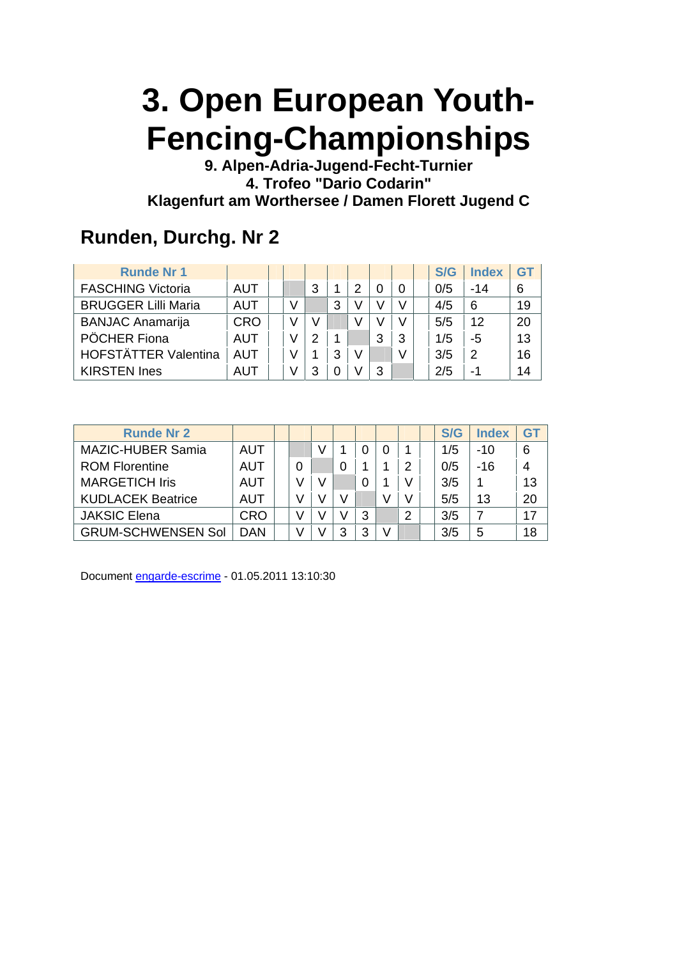**9. Alpen-Adria-Jugend-Fecht-Turnier 4. Trofeo "Dario Codarin" Klagenfurt am Worthersee / Damen Florett Jugend C** 

#### **Runden, Durchg. Nr 2**

| <b>Runde Nr 1</b>           |            |  |   |   |   |   |   | S/G | <b>Index</b> | GT |
|-----------------------------|------------|--|---|---|---|---|---|-----|--------------|----|
| <b>FASCHING Victoria</b>    | <b>AUT</b> |  | 3 |   | っ |   |   | 0/5 | $-14$        |    |
| <b>BRUGGER Lilli Maria</b>  | <b>AUT</b> |  |   | 3 |   |   | V | 4/5 | 6            | 19 |
| <b>BANJAC Anamarija</b>     | <b>CRO</b> |  |   |   |   |   | V | 5/5 | 12           | 20 |
| PÖCHER Fiona                | <b>AUT</b> |  | っ |   |   | 3 | 3 | 1/5 | -5           | 13 |
| <b>HOFSTÄTTER Valentina</b> | <b>AUT</b> |  |   | 3 | V |   | V | 3/5 | 2            | 16 |
| <b>KIRSTEN Ines</b>         | AUT        |  | 3 |   |   | 3 |   | 2/5 | $-1$         | 14 |

| <b>Runde Nr 2</b>         |            |  |   |   |   | S/G | <b>Index</b> | G1 |
|---------------------------|------------|--|---|---|---|-----|--------------|----|
| <b>MAZIC-HUBER Samia</b>  | AUT        |  |   |   |   | 1/5 | $-10$        | 6  |
| <b>ROM Florentine</b>     | AUT        |  |   |   |   | 0/5 | $-16$        |    |
| <b>MARGETICH Iris</b>     | AUT        |  |   |   |   | 3/5 |              | 13 |
| <b>KUDLACEK Beatrice</b>  | AUT        |  |   |   |   | 5/5 | 13           | 20 |
| <b>JAKSIC Elena</b>       | <b>CRO</b> |  |   | 3 | ႒ | 3/5 |              | 17 |
| <b>GRUM-SCHWENSEN Sol</b> | DAN        |  | 3 | 3 |   | 3/5 | 5            | 18 |

Document engarde-escrime - 01.05.2011 13:10:30